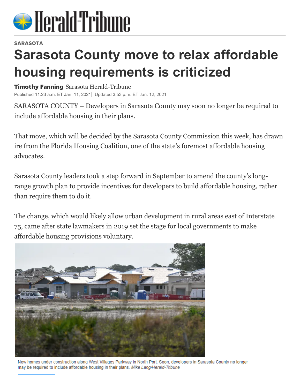

## **SARASOTA**

## **Sarasota County move to relax affordable housing requirements is criticized**

Timothy Fanning Sarasota Herald-Tribune

Published 11:23 a.m. ET Jan. 11, 2021 Updated 3:53 p.m. ET Jan. 12, 2021

SARASOTA COUNTY – Developers in Sarasota County may soon no longer be required to include affordable housing in their plans.

That move, which will be decided by the Sarasota County Commission this week, has drawn ire from the Florida Housing Coalition, one of the state's foremost affordable housing advocates.

Sarasota County leaders took a step forward in September to amend the county's longrange growth plan to provide incentives for developers to build affordable housing, rather than require them to do it.

The change, which would likely allow urban development in rural areas east of Interstate 75, came after state lawmakers in 2019 set the stage for local governments to make affordable housing provisions voluntary.



New homes under construction along West Villages Parkway in North Port. Soon, developers in Sarasota County no longer may be required to include affordable housing in their plans. Mike Lang/Herald-Tribune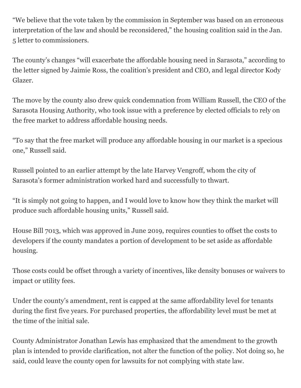"We believe that the vote taken by the commission in September was based on an erroneous interpretation of the law and should be reconsidered," the housing coalition said in the Jan. 5 letter to commissioners.

The county's changes "will exacerbate the affordable housing need in Sarasota," according to the letter signed by Jaimie Ross, the coalition's president and CEO, and legal director Kody Glazer.

The move by the county also drew quick condemnation from William Russell, the CEO of the Sarasota Housing Authority, who took issue with a preference by elected officials to rely on the free market to address affordable housing needs.

"To say that the free market will produce any affordable housing in our market is a specious one," Russell said.

Russell pointed to an earlier attempt by the late Harvey Vengroff, whom the city of Sarasota's former administration worked hard and successfully to thwart.

"It is simply not going to happen, and I would love to know how they think the market will produce such affordable housing units," Russell said.

House Bill 7013, which was approved in June 2019, requires counties to offset the costs to developers if the county mandates a portion of development to be set aside as affordable housing.

Those costs could be offset through a variety of incentives, like density bonuses or waivers to impact or utility fees.

Under the county's amendment, rent is capped at the same affordability level for tenants during the first five years. For purchased properties, the affordability level must be met at the time of the initial sale.

County Administrator Jonathan Lewis has emphasized that the amendment to the growth plan is intended to provide clarification, not alter the function of the policy. Not doing so, he said, could leave the county open for lawsuits for not complying with state law.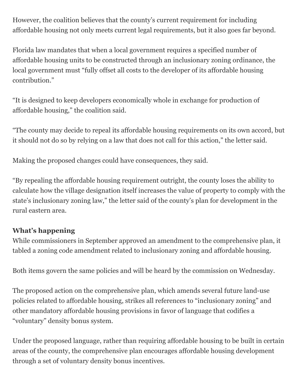However, the coalition believes that the county's current requirement for including affordable housing not only meets current legal requirements, but it also goes far beyond.

Florida law mandates that when a local government requires a specified number of affordable housing units to be constructed through an inclusionary zoning ordinance, the local government must "fully offset all costs to the developer of its affordable housing contribution."

"It is designed to keep developers economically whole in exchange for production of affordable housing," the coalition said.

"The county may decide to repeal its affordable housing requirements on its own accord, but it should not do so by relying on a law that does not call for this action," the letter said.

Making the proposed changes could have consequences, they said.

"By repealing the affordable housing requirement outright, the county loses the ability to calculate how the village designation itself increases the value of property to comply with the state's inclusionary zoning law," the letter said of the county's plan for development in the rural eastern area.

## **What's happening**

While commissioners in September approved an amendment to the comprehensive plan, it tabled a zoning code amendment related to inclusionary zoning and affordable housing.

Both items govern the same policies and will be heard by the commission on Wednesday.

The proposed action on the comprehensive plan, which amends several future land-use policies related to affordable housing, strikes all references to "inclusionary zoning" and other mandatory affordable housing provisions in favor of language that codifies a "voluntary" density bonus system.

Under the proposed language, rather than requiring affordable housing to be built in certain areas of the county, the comprehensive plan encourages affordable housing development through a set of voluntary density bonus incentives.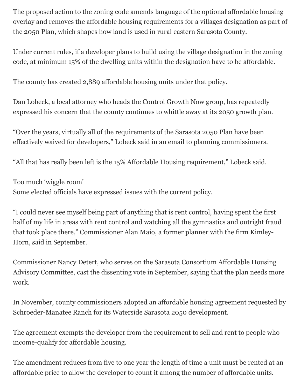The proposed action to the zoning code amends language of the optional affordable housing overlay and removes the affordable housing requirements for a villages designation as part of the 2050 Plan, which shapes how land is used in rural eastern Sarasota County.

Under current rules, if a developer plans to build using the village designation in the zoning code, at minimum 15% of the dwelling units within the designation have to be affordable.

The county has created 2,889 affordable housing units under that policy.

Dan Lobeck, a local attorney who heads the Control Growth Now group, has repeatedly expressed his concern that the county continues to whittle away at its 2050 growth plan.

"Over the years, virtually all of the requirements of the Sarasota 2050 Plan have been effectively waived for developers," Lobeck said in an email to planning commissioners.

"All that has really been left is the 15% Affordable Housing requirement," Lobeck said.

Too much 'wiggle room' Some elected officials have expressed issues with the current policy.

"I could never see myself being part of anything that is rent control, having spent the first half of my life in areas with rent control and watching all the gymnastics and outright fraud that took place there," Commissioner Alan Maio, a former planner with the firm Kimley-Horn, said in September.

Commissioner Nancy Detert, who serves on the Sarasota Consortium Affordable Housing Advisory Committee, cast the dissenting vote in September, saying that the plan needs more work.

In November, county commissioners adopted an affordable housing agreement requested by Schroeder-Manatee Ranch for its Waterside Sarasota 2050 development.

The agreement exempts the developer from the requirement to sell and rent to people who income-qualify for affordable housing.

The amendment reduces from five to one year the length of time a unit must be rented at an affordable price to allow the developer to count it among the number of affordable units.